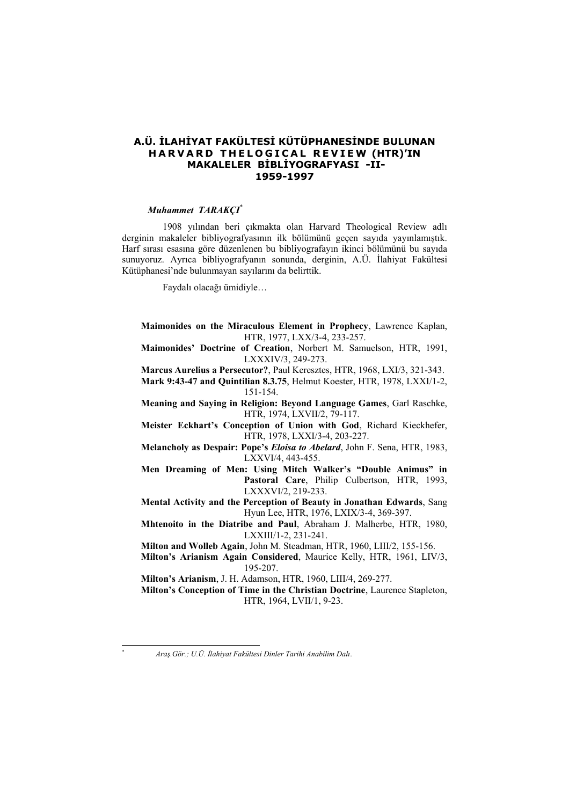## **A.Ü. İLAHİYAT FAKÜLTESİ KÜTÜPHANESİNDE BULUNAN HARVARD THELOGICAL REVIEW (HTR)'IN MAKALELER BİBLİYOGRAFYASI -II-1959-1997**

## *Muhammet TARAKÇI*\*

1908 yılından beri çıkmakta olan Harvard Theological Review adlı derginin makaleler bibliyografyasının ilk bölümünü geçen sayıda yayınlamıştık. Harf sırası esasına göre düzenlenen bu bibliyografayın ikinci bölümünü bu sayıda sunuyoruz. Ayrıca bibliyografyanın sonunda, derginin, A.Ü. İlahiyat Fakültesi Kütüphanesi'nde bulunmayan sayılarını da belirttik.

Faydalı olacağı ümidiyle…

**Maimonides on the Miraculous Element in Prophecy**, Lawrence Kaplan, HTR, 1977, LXX/3-4, 233-257.

**Maimonides' Doctrine of Creation**, Norbert M. Samuelson, HTR, 1991, LXXXIV/3, 249-273.

**Marcus Aurelius a Persecutor?**, Paul Keresztes, HTR, 1968, LXI/3, 321-343.

**Mark 9:43-47 and Quintilian 8.3.75**, Helmut Koester, HTR, 1978, LXXI/1-2, 151-154.

**Meaning and Saying in Religion: Beyond Language Games**, Garl Raschke, HTR, 1974, LXVII/2, 79-117.

**Meister Eckhart's Conception of Union with God**, Richard Kieckhefer, HTR, 1978, LXXI/3-4, 203-227.

**Melancholy as Despair: Pope's** *Eloisa to Abelard*, John F. Sena, HTR, 1983, LXXVI/4, 443-455.

**Men Dreaming of Men: Using Mitch Walker's "Double Animus" in**  Pastoral Care, Philip Culbertson, HTR, 1993, LXXXVI/2, 219-233.

**Mental Activity and the Perception of Beauty in Jonathan Edwards**, Sang Hyun Lee, HTR, 1976, LXIX/3-4, 369-397.

**Mhtenoito in the Diatribe and Paul**, Abraham J. Malherbe, HTR, 1980, LXXIII/1-2, 231-241.

**Milton and Wolleb Again**, John M. Steadman, HTR, 1960, LIII/2, 155-156.

**Milton's Arianism Again Considered**, Maurice Kelly, HTR, 1961, LIV/3, 195-207.

**Milton's Arianism**, J. H. Adamson, HTR, 1960, LIII/4, 269-277.

**Milton's Conception of Time in the Christian Doctrine**, Laurence Stapleton, HTR, 1964, LVII/1, 9-23.

l \*

*Araş.Gör.; U.Ü. İlahiyat Fakültesi Dinler Tarihi Anabilim Dalı*.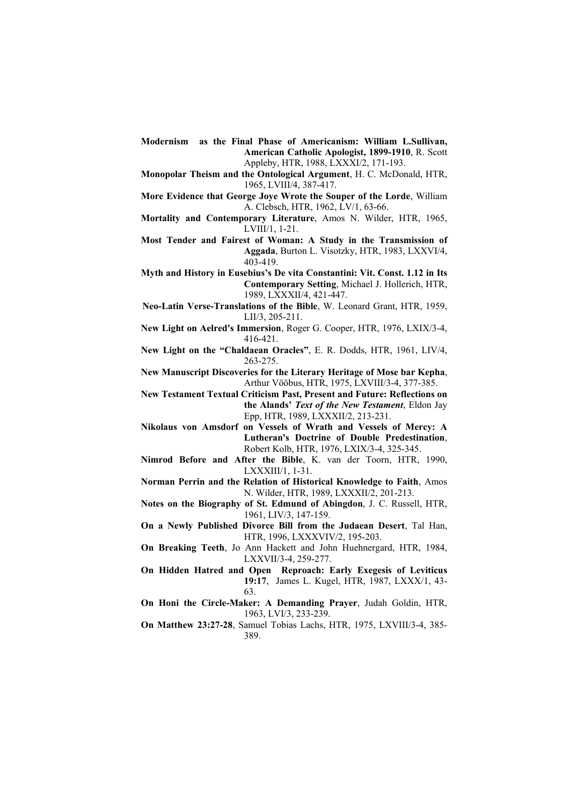- **Modernism as the Final Phase of Americanism: William L.Sullivan, American Catholic Apologist, 1899-1910**, R. Scott Appleby, HTR, 1988, LXXXI/2, 171-193.
- **Monopolar Theism and the Ontological Argument**, H. C. McDonald, HTR, 1965, LVIII/4, 387-417.
- **More Evidence that George Joye Wrote the Souper of the Lorde**, William A. Clebsch, HTR, 1962, LV/1, 63-66.
- **Mortality and Contemporary Literature**, Amos N. Wilder, HTR, 1965, LVIII/1, 1-21.
- **Most Tender and Fairest of Woman: A Study in the Transmission of Aggada**, Burton L. Visotzky, HTR, 1983, LXXVI/4, 403-419.
- **Myth and History in Eusebius's De vita Constantini: Vit. Const. 1.12 in Its Contemporary Setting**, Michael J. Hollerich, HTR, 1989, LXXXII/4, 421-447.
- **Neo-Latin Verse-Translations of the Bible**, W. Leonard Grant, HTR, 1959, LII/3, 205-211.
- **New Light on Aelred's Immersion**, Roger G. Cooper, HTR, 1976, LXIX/3-4, 416-421.
- **New Light on the "Chaldaean Oracles"**, E. R. Dodds, HTR, 1961, LIV/4, 263-275.
- **New Manuscript Discoveries for the Literary Heritage of Mose bar Kepha**, Arthur Vööbus, HTR, 1975, LXVIII/3-4, 377-385.
- **New Testament Textual Criticism Past, Present and Future: Reflections on the Alands'** *Text of the New Testament*, Eldon Jay Epp, HTR, 1989, LXXXII/2, 213-231.
- **Nikolaus von Amsdorf on Vessels of Wrath and Vessels of Mercy: A Lutheran's Doctrine of Double Predestination**, Robert Kolb, HTR, 1976, LXIX/3-4, 325-345.
- **Nimrod Before and After the Bible**, K. van der Toorn, HTR, 1990, LXXXIII/1, 1-31.
- **Norman Perrin and the Relation of Historical Knowledge to Faith**, Amos N. Wilder, HTR, 1989, LXXXII/2, 201-213.
- **Notes on the Biography of St. Edmund of Abingdon**, J. C. Russell, HTR, 1961, LIV/3, 147-159.
- **On a Newly Published Divorce Bill from the Judaean Desert**, Tal Han, HTR, 1996, LXXXVIV/2, 195-203.
- **On Breaking Teeth**, Jo Ann Hackett and John Huehnergard, HTR, 1984, LXXVII/3-4, 259-277.
- **On Hidden Hatred and Open Reproach: Early Exegesis of Leviticus 19:17**, James L. Kugel, HTR, 1987, LXXX/1, 43- 63.
- **On Honi the Circle-Maker: A Demanding Prayer**, Judah Goldin, HTR, 1963, LVI/3, 233-239.
- **On Matthew 23:27-28**, Samuel Tobias Lachs, HTR, 1975, LXVIII/3-4, 385- 389.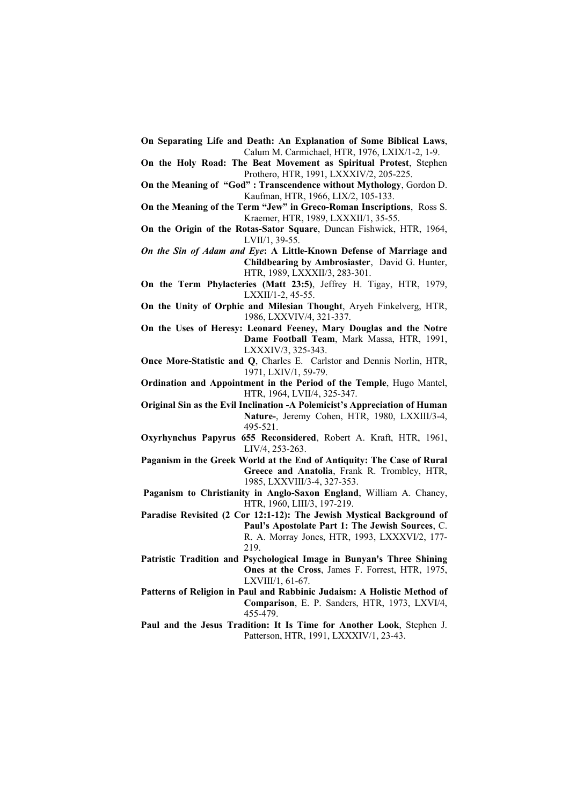- **On Separating Life and Death: An Explanation of Some Biblical Laws**, Calum M. Carmichael, HTR, 1976, LXIX/1-2, 1-9.
- **On the Holy Road: The Beat Movement as Spiritual Protest**, Stephen Prothero, HTR, 1991, LXXXIV/2, 205-225.
- **On the Meaning of "God" : Transcendence without Mythology**, Gordon D. Kaufman, HTR, 1966, LIX/2, 105-133.
- **On the Meaning of the Term "Jew" in Greco-Roman Inscriptions**, Ross S. Kraemer, HTR, 1989, LXXXII/1, 35-55.
- **On the Origin of the Rotas-Sator Square**, Duncan Fishwick, HTR, 1964, LVII/1, 39-55.

*On the Sin of Adam and Eye***: A Little-Known Defense of Marriage and Childbearing by Ambrosiaster**, David G. Hunter, HTR, 1989, LXXXII/3, 283-301.

- **On the Term Phylacteries (Matt 23:5)**, Jeffrey H. Tigay, HTR, 1979, LXXII/1-2, 45-55.
- **On the Unity of Orphic and Milesian Thought**, Aryeh Finkelverg, HTR, 1986, LXXVIV/4, 321-337.

**On the Uses of Heresy: Leonard Feeney, Mary Douglas and the Notre Dame Football Team**, Mark Massa, HTR, 1991, LXXXIV/3, 325-343.

**Once More-Statistic and Q**, Charles E. Carlstor and Dennis Norlin, HTR, 1971, LXIV/1, 59-79.

**Ordination and Appointment in the Period of the Temple**, Hugo Mantel, HTR, 1964, LVII/4, 325-347.

**Original Sin as the Evil Inclination -A Polemicist's Appreciation of Human Nature-**, Jeremy Cohen, HTR, 1980, LXXIII/3-4, 495-521.

- **Oxyrhynchus Papyrus 655 Reconsidered**, Robert A. Kraft, HTR, 1961, LIV/4, 253-263.
- **Paganism in the Greek World at the End of Antiquity: The Case of Rural Greece and Anatolia**, Frank R. Trombley, HTR, 1985, LXXVIII/3-4, 327-353.
- **Paganism to Christianity in Anglo-Saxon England**, William A. Chaney, HTR, 1960, LIII/3, 197-219.
- **Paradise Revisited (2 Cor 12:1-12): The Jewish Mystical Background of Paul's Apostolate Part 1: The Jewish Sources**, C. R. A. Morray Jones, HTR, 1993, LXXXVI/2, 177- 219.
- **Patristic Tradition and Psychological Image in Bunyan's Three Shining Ones at the Cross**, James F. Forrest, HTR, 1975, LXVIII/1, 61-67.
- **Patterns of Religion in Paul and Rabbinic Judaism: A Holistic Method of Comparison**, E. P. Sanders, HTR, 1973, LXVI/4, 455-479.
- **Paul and the Jesus Tradition: It Is Time for Another Look**, Stephen J. Patterson, HTR, 1991, LXXXIV/1, 23-43.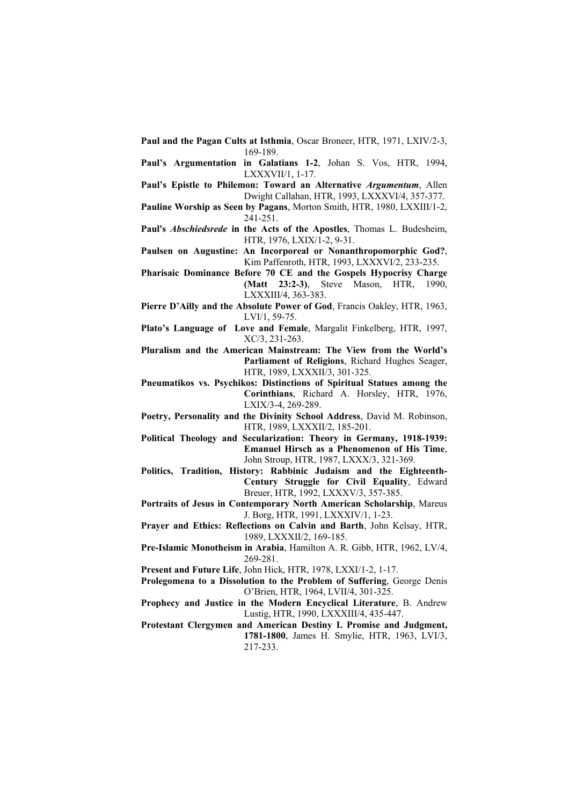- **Paul and the Pagan Cults at Isthmia**, Oscar Broneer, HTR, 1971, LXIV/2-3, 169-189.
- **Paul's Argumentation in Galatians 1-2**, Johan S. Vos, HTR, 1994, LXXXVII/1, 1-17.
- **Paul's Epistle to Philemon: Toward an Alternative** *Argumentum*, Allen Dwight Callahan, HTR, 1993, LXXXVI/4, 357-377.
- **Pauline Worship as Seen by Pagans**, Morton Smith, HTR, 1980, LXXIII/1-2, 241-251.
- **Paul's** *Abschiedsrede* **in the Acts of the Apostles**, Thomas L. Budesheim, HTR, 1976, LXIX/1-2, 9-31.
- **Paulsen on Augustine: An Incorporeal or Nonanthropomorphic God?**, Kim Paffenroth, HTR, 1993, LXXXVI/2, 233-235.
- **Pharisaic Dominance Before 70 CE and the Gospels Hypocrisy Charge (Matt 23:2-3)**, Steve Mason, HTR, 1990, LXXXIII/4, 363-383.
- **Pierre D'Ailly and the Absolute Power of God**, Francis Oakley, HTR, 1963, LVI/1, 59-75.
- **Plato's Language of Love and Female**, Margalit Finkelberg, HTR, 1997, XC/3, 231-263.

**Pluralism and the American Mainstream: The View from the World's Parliament of Religions**, Richard Hughes Seager, HTR, 1989, LXXXII/3, 301-325.

- **Pneumatikos vs. Psychikos: Distinctions of Spiritual Statues among the Corinthians**, Richard A. Horsley, HTR, 1976, LXIX/3-4, 269-289.
- **Poetry, Personality and the Divinity School Address**, David M. Robinson, HTR, 1989, LXXXII/2, 185-201.
- **Political Theology and Secularization: Theory in Germany, 1918-1939: Emanuel Hirsch as a Phenomenon of His Time**, John Stroup, HTR, 1987, LXXX/3, 321-369.
- **Politics, Tradition, History: Rabbinic Judaism and the Eighteenth-Century Struggle for Civil Equality**, Edward Breuer, HTR, 1992, LXXXV/3, 357-385.
- **Portraits of Jesus in Contemporary North American Scholarship**, Mareus J. Borg, HTR, 1991, LXXXIV/1, 1-23.
- **Prayer and Ethics: Reflections on Calvin and Barth**, John Kelsay, HTR, 1989, LXXXII/2, 169-185.
- **Pre-Islamic Monotheism in Arabia**, Hamilton A. R. Gibb, HTR, 1962, LV/4, 269-281.

**Present and Future Life**, John Hick, HTR, 1978, LXXI/1-2, 1-17.

- **Prolegomena to a Dissolution to the Problem of Suffering**, George Denis O'Brien, HTR, 1964, LVII/4, 301-325.
- **Prophecy and Justice in the Modern Encyclical Literature**, B. Andrew Lustig, HTR, 1990, LXXXIII/4, 435-447.
- **Protestant Clergymen and American Destiny I. Promise and Judgment, 1781-1800**, James H. Smylie, HTR, 1963, LVI/3, 217-233.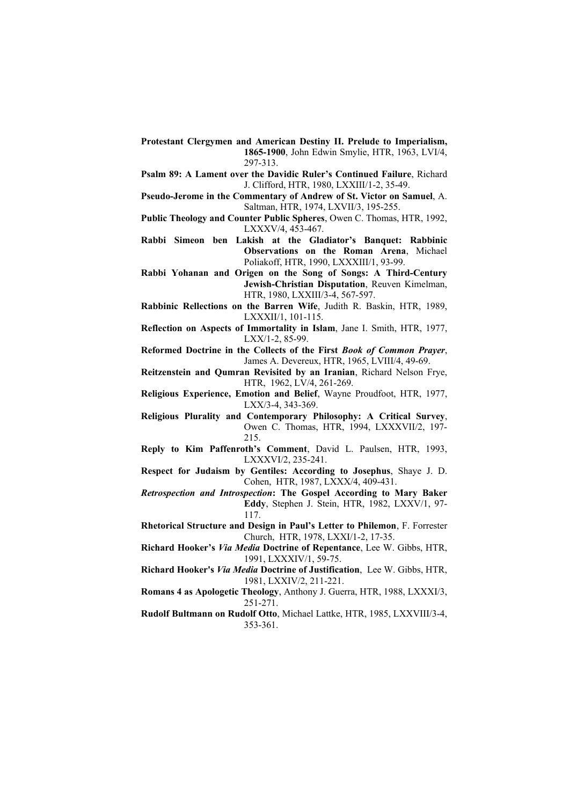- **Protestant Clergymen and American Destiny II. Prelude to Imperialism, 1865-1900**, John Edwin Smylie, HTR, 1963, LVI/4, 297-313.
- **Psalm 89: A Lament over the Davidic Ruler's Continued Failure**, Richard J. Clifford, HTR, 1980, LXXIII/1-2, 35-49.
- **Pseudo-Jerome in the Commentary of Andrew of St. Victor on Samuel**, A. Saltman, HTR, 1974, LXVII/3, 195-255.
- **Public Theology and Counter Public Spheres**, Owen C. Thomas, HTR, 1992, LXXXV/4, 453-467.
- **Rabbi Simeon ben Lakish at the Gladiator's Banquet: Rabbinic Observations on the Roman Arena**, Michael Poliakoff, HTR, 1990, LXXXIII/1, 93-99.
- **Rabbi Yohanan and Origen on the Song of Songs: A Third-Century Jewish-Christian Disputation**, Reuven Kimelman, HTR, 1980, LXXIII/3-4, 567-597.
- **Rabbinic Rellections on the Barren Wife**, Judith R. Baskin, HTR, 1989, LXXXII/1, 101-115.
- **Reflection on Aspects of Immortality in Islam**, Jane I. Smith, HTR, 1977, LXX/1-2, 85-99.

**Reformed Doctrine in the Collects of the First** *Book of Common Prayer*, James A. Devereux, HTR, 1965, LVIII/4, 49-69.

- **Reitzenstein and Qumran Revisited by an Iranian**, Richard Nelson Frye, HTR, 1962, LV/4, 261-269.
- **Religious Experience, Emotion and Belief**, Wayne Proudfoot, HTR, 1977, LXX/3-4, 343-369.
- **Religious Plurality and Contemporary Philosophy: A Critical Survey**, Owen C. Thomas, HTR, 1994, LXXXVII/2, 197- 215.
- **Reply to Kim Paffenroth's Comment**, David L. Paulsen, HTR, 1993, LXXXVI/2, 235-241.
- **Respect for Judaism by Gentiles: According to Josephus**, Shaye J. D. Cohen, HTR, 1987, LXXX/4, 409-431.
- *Retrospection and Introspection***: The Gospel According to Mary Baker Eddy**, Stephen J. Stein, HTR, 1982, LXXV/1, 97- 117.
- **Rhetorical Structure and Design in Paul's Letter to Philemon**, F. Forrester Church, HTR, 1978, LXXI/1-2, 17-35.
- **Richard Hooker's** *Via Media* **Doctrine of Repentance**, Lee W. Gibbs, HTR, 1991, LXXXIV/1, 59-75.
- **Richard Hooker's** *Via Media* **Doctrine of Justification**, Lee W. Gibbs, HTR, 1981, LXXIV/2, 211-221.
- **Romans 4 as Apologetic Theology**, Anthony J. Guerra, HTR, 1988, LXXXI/3, 251-271.
- **Rudolf Bultmann on Rudolf Otto**, Michael Lattke, HTR, 1985, LXXVIII/3-4, 353-361.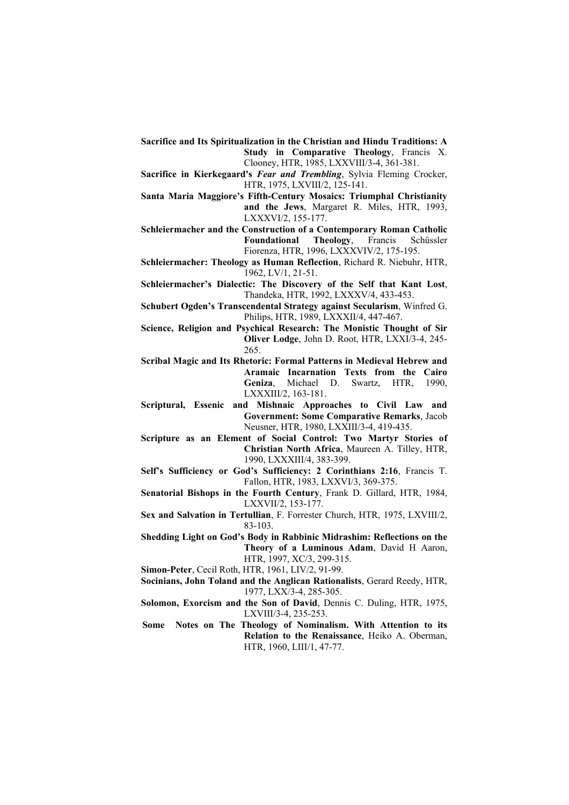- **Sacrifice and Its Spiritualization in the Christian and Hindu Traditions: A Study in Comparative Theology**, Francis X. Clooney, HTR, 1985, LXXVIII/3-4, 361-381.
- **Sacrifice in Kierkegaard's** *Fear and Trembling*, Sylvia Fleming Crocker, HTR, 1975, LXVIII/2, 125-141.
- **Santa Maria Maggiore's Fifth-Century Mosaics: Triumphal Christianity and the Jews**, Margaret R. Miles, HTR, 1993,
- LXXXVI/2, 155-177. **Schleiermacher and the Construction of a Contemporary Roman Catholic Foundational Theology**, Francis Schüssler
	- Fiorenza, HTR, 1996, LXXXVIV/2, 175-195.
- **Schleiermacher: Theology as Human Reflection**, Richard R. Niebuhr, HTR, 1962, LV/1, 21-51.
- **Schleiermacher's Dialectic: The Discovery of the Self that Kant Lost**, Thandeka, HTR, 1992, LXXXV/4, 433-453.
- **Schubert Ogden's Transcendental Strategy against Secularism**, Winfred G. Philips, HTR, 1989, LXXXII/4, 447-467.
- **Science, Religion and Psychical Research: The Monistic Thought of Sir Oliver Lodge**, John D. Root, HTR, LXXI/3-4, 245- 265.
- **Scribal Magic and Its Rhetoric: Formal Patterns in Medieval Hebrew and Aramaic Incarnation Texts from the Cairo Geniza**, Michael D. Swartz, HTR, 1990, LXXXIII/2, 163-181.
- **Scriptural, Essenic and Mishnaic Approaches to Civil Law and Government: Some Comparative Remarks**, Jacob Neusner, HTR, 1980, LXXIII/3-4, 419-435.
- **Scripture as an Element of Social Control: Two Martyr Stories of Christian North Africa**, Maureen A. Tilley, HTR, 1990, LXXXIII/4, 383-399.
- **Self's Sufficiency or God's Sufficiency: 2 Corinthians 2:16**, Francis T. Fallon, HTR, 1983, LXXVI/3, 369-375.
- **Senatorial Bishops in the Fourth Century**, Frank D. Gillard, HTR, 1984, LXXVII/2, 153-177.
- **Sex and Salvation in Tertullian**, F. Forrester Church, HTR, 1975, LXVIII/2, 83-103.
- **Shedding Light on God's Body in Rabbinic Midrashim: Reflections on the Theory of a Luminous Adam**, David H Aaron, HTR, 1997, XC/3, 299-315.
- **Simon-Peter**, Cecil Roth, HTR, 1961, LIV/2, 91-99.
- **Socinians, John Toland and the Anglican Rationalists**, Gerard Reedy, HTR, 1977, LXX/3-4, 285-305.
- **Solomon, Exorcism and the Son of David**, Dennis C. Duling, HTR, 1975, LXVIII/3-4, 235-253.
- **Some Notes on The Theology of Nominalism. With Attention to its Relation to the Renaissance**, Heiko A. Oberman, HTR, 1960, LIII/1, 47-77.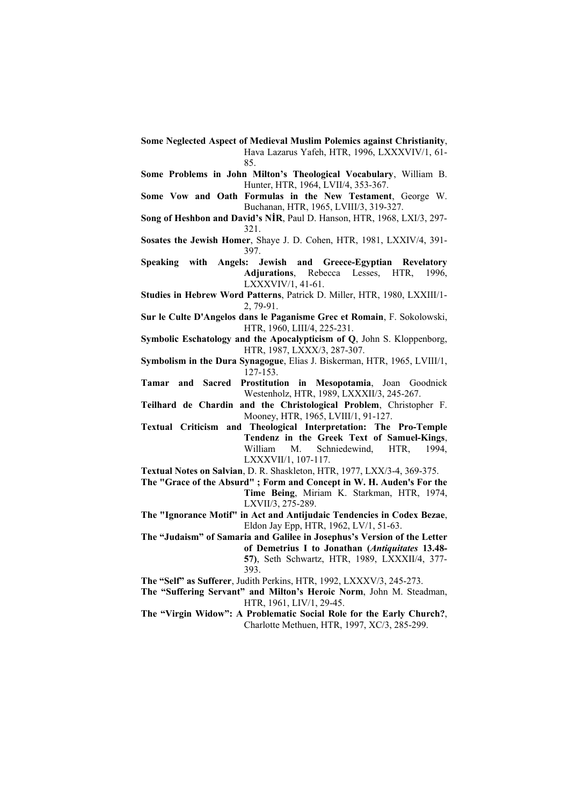- **Some Neglected Aspect of Medieval Muslim Polemics against Christianity**, Hava Lazarus Yafeh, HTR, 1996, LXXXVIV/1, 61- 85.
- **Some Problems in John Milton's Theological Vocabulary**, William B. Hunter, HTR, 1964, LVII/4, 353-367.
- **Some Vow and Oath Formulas in the New Testament**, George W. Buchanan, HTR, 1965, LVIII/3, 319-327.
- **Song of Heshbon and David's NİR**, Paul D. Hanson, HTR, 1968, LXI/3, 297- 321.
- **Sosates the Jewish Homer**, Shaye J. D. Cohen, HTR, 1981, LXXIV/4, 391- 397.
- **Speaking with Angels: Jewish and Greece-Egyptian Revelatory Adjurations**, Rebecca Lesses, HTR, 1996, LXXXVIV/1, 41-61.
- **Studies in Hebrew Word Patterns**, Patrick D. Miller, HTR, 1980, LXXIII/1- 2, 79-91.
- **Sur le Culte D'Angelos dans le Paganisme Grec et Romain**, F. Sokolowski, HTR, 1960, LIII/4, 225-231.
- **Symbolic Eschatology and the Apocalypticism of Q**, John S. Kloppenborg, HTR, 1987, LXXX/3, 287-307.
- **Symbolism in the Dura Synagogue**, Elias J. Biskerman, HTR, 1965, LVIII/1, 127-153.
- **Tamar and Sacred Prostitution in Mesopotamia**, Joan Goodnick Westenholz, HTR, 1989, LXXXII/3, 245-267.
- **Teilhard de Chardin and the Christological Problem**, Christopher F. Mooney, HTR, 1965, LVIII/1, 91-127.
- **Textual Criticism and Theological Interpretation: The Pro-Temple Tendenz in the Greek Text of Samuel-Kings**, William M. Schniedewind, HTR, 1994, LXXXVII/1, 107-117.
- **Textual Notes on Salvian**, D. R. Shaskleton, HTR, 1977, LXX/3-4, 369-375.
- **The "Grace of the Absurd" ; Form and Concept in W. H. Auden's For the Time Being**, Miriam K. Starkman, HTR, 1974, LXVII/3, 275-289.
- **The "Ignorance Motif" in Act and Antijudaic Tendencies in Codex Bezae**, Eldon Jay Epp, HTR, 1962, LV/1, 51-63.
- **The "Judaism" of Samaria and Galilee in Josephus's Version of the Letter of Demetrius I to Jonathan (***Antiquitates* **13.48- 57)**, Seth Schwartz, HTR, 1989, LXXXII/4, 377- 393.
- **The "Self" as Sufferer**, Judith Perkins, HTR, 1992, LXXXV/3, 245-273.
- **The "Suffering Servant" and Milton's Heroic Norm**, John M. Steadman, HTR, 1961, LIV/1, 29-45.
- **The "Virgin Widow": A Problematic Social Role for the Early Church?**, Charlotte Methuen, HTR, 1997, XC/3, 285-299.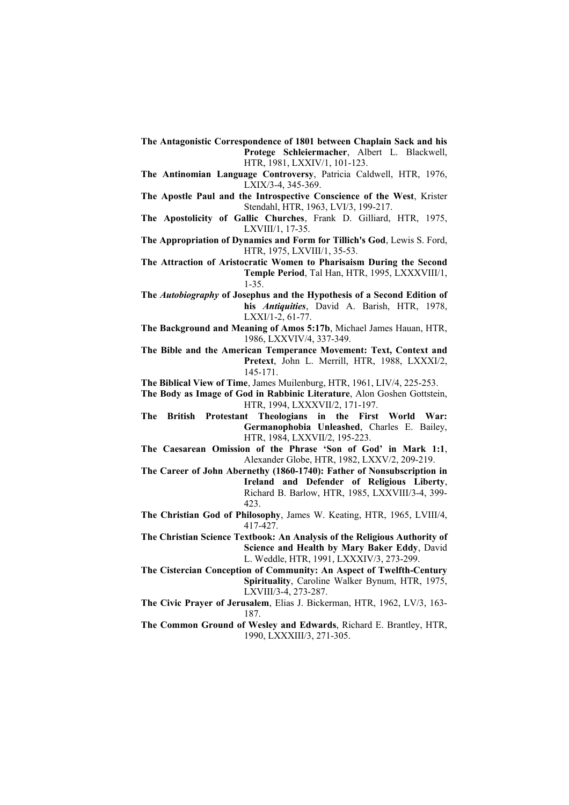- **The Antagonistic Correspondence of 1801 between Chaplain Sack and his Protege Schleiermacher**, Albert L. Blackwell, HTR, 1981, LXXIV/1, 101-123.
- **The Antinomian Language Controversy**, Patricia Caldwell, HTR, 1976, LXIX/3-4, 345-369.
- **The Apostle Paul and the Introspective Conscience of the West**, Krister Stendahl, HTR, 1963, LVI/3, 199-217.
- **The Apostolicity of Gallic Churches**, Frank D. Gilliard, HTR, 1975, LXVIII/1, 17-35.
- **The Appropriation of Dynamics and Form for Tillich's God**, Lewis S. Ford, HTR, 1975, LXVIII/1, 35-53.
- **The Attraction of Aristocratic Women to Pharisaism During the Second Temple Period**, Tal Han, HTR, 1995, LXXXVIII/1, 1-35.
- **The** *Autobiography* **of Josephus and the Hypothesis of a Second Edition of his** *Antiquities*, David A. Barish, HTR, 1978, LXXI/1-2, 61-77.
- **The Background and Meaning of Amos 5:17b**, Michael James Hauan, HTR, 1986, LXXVIV/4, 337-349.
- **The Bible and the American Temperance Movement: Text, Context and Pretext**, John L. Merrill, HTR, 1988, LXXXI/2, 145-171.

**The Biblical View of Time**, James Muilenburg, HTR, 1961, LIV/4, 225-253.

- **The Body as Image of God in Rabbinic Literature**, Alon Goshen Gottstein, HTR, 1994, LXXXVII/2, 171-197.
- **The British Protestant Theologians in the First World War: Germanophobia Unleashed**, Charles E. Bailey, HTR, 1984, LXXVII/2, 195-223.
- **The Caesarean Omission of the Phrase 'Son of God' in Mark 1:1**, Alexander Globe, HTR, 1982, LXXV/2, 209-219.
- **The Career of John Abernethy (1860-1740): Father of Nonsubscription in Ireland and Defender of Religious Liberty**, Richard B. Barlow, HTR, 1985, LXXVIII/3-4, 399- 423.
- **The Christian God of Philosophy**, James W. Keating, HTR, 1965, LVIII/4, 417-427.
- **The Christian Science Textbook: An Analysis of the Religious Authority of Science and Health by Mary Baker Eddy**, David L. Weddle, HTR, 1991, LXXXIV/3, 273-299.
- **The Cistercian Conception of Community: An Aspect of Twelfth-Century Spirituality**, Caroline Walker Bynum, HTR, 1975, LXVIII/3-4, 273-287.
- **The Civic Prayer of Jerusalem**, Elias J. Bickerman, HTR, 1962, LV/3, 163- 187.
- **The Common Ground of Wesley and Edwards**, Richard E. Brantley, HTR, 1990, LXXXIII/3, 271-305.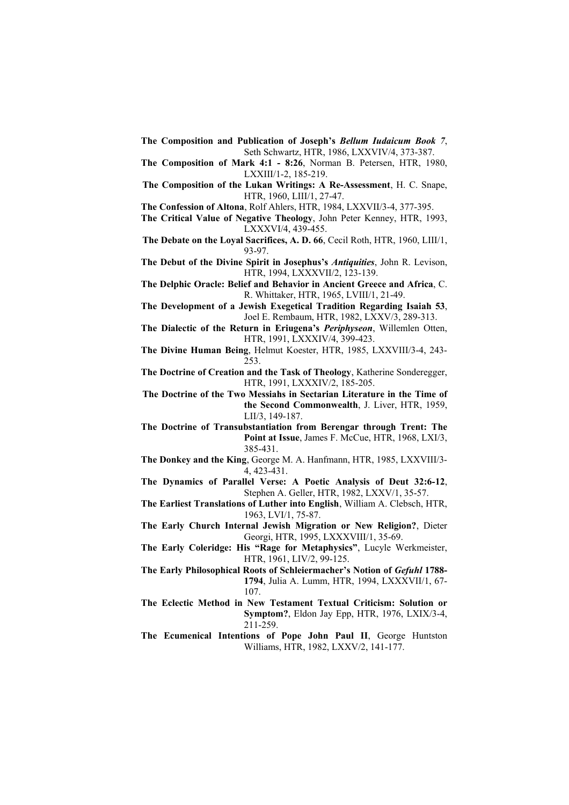- **The Composition and Publication of Joseph's** *Bellum Iudaicum Book 7*, Seth Schwartz, HTR, 1986, LXXVIV/4, 373-387.
- **The Composition of Mark 4:1 8:26**, Norman B. Petersen, HTR, 1980, LXXIII/1-2, 185-219.
- **The Composition of the Lukan Writings: A Re-Assessment**, H. C. Snape, HTR, 1960, LIII/1, 27-47.

**The Confession of Altona**, Rolf Ahlers, HTR, 1984, LXXVII/3-4, 377-395.

- **The Critical Value of Negative Theology**, John Peter Kenney, HTR, 1993, LXXXVI/4, 439-455.
- **The Debate on the Loyal Sacrifices, A. D. 66**, Cecil Roth, HTR, 1960, LIII/1, 93-97.
- **The Debut of the Divine Spirit in Josephus's** *Antiquities*, John R. Levison, HTR, 1994, LXXXVII/2, 123-139.
- **The Delphic Oracle: Belief and Behavior in Ancient Greece and Africa**, C. R. Whittaker, HTR, 1965, LVIII/1, 21-49.
- **The Development of a Jewish Exegetical Tradition Regarding Isaiah 53**, Joel E. Rembaum, HTR, 1982, LXXV/3, 289-313.
- **The Dialectic of the Return in Eriugena's** *Periphyseon*, Willemlen Otten, HTR, 1991, LXXXIV/4, 399-423.
- **The Divine Human Being**, Helmut Koester, HTR, 1985, LXXVIII/3-4, 243- 253.
- **The Doctrine of Creation and the Task of Theology**, Katherine Sonderegger, HTR, 1991, LXXXIV/2, 185-205.
- **The Doctrine of the Two Messiahs in Sectarian Literature in the Time of the Second Commonwealth**, J. Liver, HTR, 1959, LII/3, 149-187.
- **The Doctrine of Transubstantiation from Berengar through Trent: The**  Point at Issue, James F. McCue, HTR, 1968, LXI/3, 385-431.
- **The Donkey and the King**, George M. A. Hanfmann, HTR, 1985, LXXVIII/3- 4, 423-431.
- **The Dynamics of Parallel Verse: A Poetic Analysis of Deut 32:6-12**, Stephen A. Geller, HTR, 1982, LXXV/1, 35-57.
- **The Earliest Translations of Luther into English**, William A. Clebsch, HTR, 1963, LVI/1, 75-87.
- **The Early Church Internal Jewish Migration or New Religion?**, Dieter Georgi, HTR, 1995, LXXXVIII/1, 35-69.
- **The Early Coleridge: His "Rage for Metaphysics"**, Lucyle Werkmeister, HTR, 1961, LIV/2, 99-125.
- **The Early Philosophical Roots of Schleiermacher's Notion of** *Gefuhl* **1788- 1794**, Julia A. Lumm, HTR, 1994, LXXXVII/1, 67- 107.
- **The Eclectic Method in New Testament Textual Criticism: Solution or Symptom?**, Eldon Jay Epp, HTR, 1976, LXIX/3-4, 211-259.
- **The Ecumenical Intentions of Pope John Paul II**, George Huntston Williams, HTR, 1982, LXXV/2, 141-177.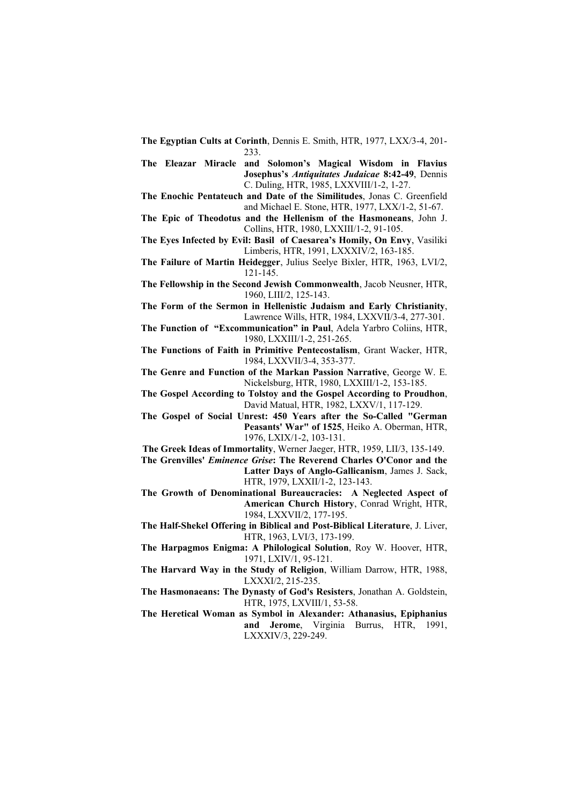**The Egyptian Cults at Corinth**, Dennis E. Smith, HTR, 1977, LXX/3-4, 201- 233.

**The Eleazar Miracle and Solomon's Magical Wisdom in Flavius Josephus's** *Antiquitates Judaicae* **8:42-49**, Dennis C. Duling, HTR, 1985, LXXVIII/1-2, 1-27.

- **The Enochic Pentateuch and Date of the Similitudes**, Jonas C. Greenfield and Michael E. Stone, HTR, 1977, LXX/1-2, 51-67.
- **The Epic of Theodotus and the Hellenism of the Hasmoneans**, John J. Collins, HTR, 1980, LXXIII/1-2, 91-105.
- **The Eyes Infected by Evil: Basil of Caesarea's Homily, On Envy**, Vasiliki Limberis, HTR, 1991, LXXXIV/2, 163-185.
- **The Failure of Martin Heidegger**, Julius Seelye Bixler, HTR, 1963, LVI/2, 121-145.
- **The Fellowship in the Second Jewish Commonwealth**, Jacob Neusner, HTR, 1960, LIII/2, 125-143.
- **The Form of the Sermon in Hellenistic Judaism and Early Christianity**, Lawrence Wills, HTR, 1984, LXXVII/3-4, 277-301.
- **The Function of "Excommunication" in Paul**, Adela Yarbro Coliins, HTR, 1980, LXXIII/1-2, 251-265.

**The Functions of Faith in Primitive Pentecostalism**, Grant Wacker, HTR, 1984, LXXVII/3-4, 353-377.

- **The Genre and Function of the Markan Passion Narrative**, George W. E. Nickelsburg, HTR, 1980, LXXIII/1-2, 153-185.
- **The Gospel According to Tolstoy and the Gospel According to Proudhon**, David Matual, HTR, 1982, LXXV/1, 117-129.
- **The Gospel of Social Unrest: 450 Years after the So-Called "German Peasants' War" of 1525**, Heiko A. Oberman, HTR, 1976, LXIX/1-2, 103-131.
- **The Greek Ideas of Immortality**, Werner Jaeger, HTR, 1959, LII/3, 135-149.
- **The Grenvilles'** *Eminence Grise***: The Reverend Charles O'Conor and the Latter Days of Anglo-Gallicanism**, James J. Sack, HTR, 1979, LXXII/1-2, 123-143.
- **The Growth of Denominational Bureaucracies: A Neglected Aspect of American Church History**, Conrad Wright, HTR, 1984, LXXVII/2, 177-195.
- **The Half-Shekel Offering in Biblical and Post-Biblical Literature**, J. Liver, HTR, 1963, LVI/3, 173-199.
- **The Harpagmos Enigma: A Philological Solution**, Roy W. Hoover, HTR, 1971, LXIV/1, 95-121.
- **The Harvard Way in the Study of Religion**, William Darrow, HTR, 1988, LXXXI/2, 215-235.
- **The Hasmonaeans: The Dynasty of God's Resisters**, Jonathan A. Goldstein, HTR, 1975, LXVIII/1, 53-58.
- **The Heretical Woman as Symbol in Alexander: Athanasius, Epiphanius and Jerome**, Virginia Burrus, HTR, 1991, LXXXIV/3, 229-249.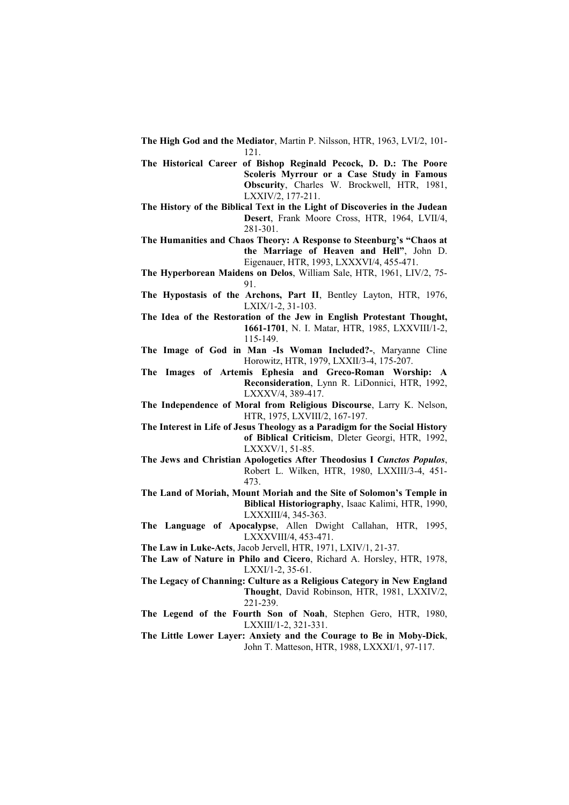- **The High God and the Mediator**, Martin P. Nilsson, HTR, 1963, LVI/2, 101- 121.
- **The Historical Career of Bishop Reginald Pecock, D. D.: The Poore Scoleris Myrrour or a Case Study in Famous Obscurity**, Charles W. Brockwell, HTR, 1981, LXXIV/2, 177-211.
- **The History of the Biblical Text in the Light of Discoveries in the Judean Desert**, Frank Moore Cross, HTR, 1964, LVII/4, 281-301.
- **The Humanities and Chaos Theory: A Response to Steenburg's "Chaos at the Marriage of Heaven and Hell"**, John D. Eigenauer, HTR, 1993, LXXXVI/4, 455-471.
- **The Hyperborean Maidens on Delos**, William Sale, HTR, 1961, LIV/2, 75- 91.
- **The Hypostasis of the Archons, Part II**, Bentley Layton, HTR, 1976, LXIX/1-2, 31-103.
- **The Idea of the Restoration of the Jew in English Protestant Thought, 1661-1701**, N. I. Matar, HTR, 1985, LXXVIII/1-2, 115-149.
- **The Image of God in Man -Is Woman Included?-**, Maryanne Cline Horowitz, HTR, 1979, LXXII/3-4, 175-207.
- **The Images of Artemis Ephesia and Greco-Roman Worship: A Reconsideration**, Lynn R. LiDonnici, HTR, 1992, LXXXV/4, 389-417.
- **The Independence of Moral from Religious Discourse**, Larry K. Nelson, HTR, 1975, LXVIII/2, 167-197.
- **The Interest in Life of Jesus Theology as a Paradigm for the Social History of Biblical Criticism**, Dleter Georgi, HTR, 1992, LXXXV/1, 51-85.
- **The Jews and Christian Apologetics After Theodosius I** *Cunctos Populos*, Robert L. Wilken, HTR, 1980, LXXIII/3-4, 451- 473.
- **The Land of Moriah, Mount Moriah and the Site of Solomon's Temple in Biblical Historiography**, Isaac Kalimi, HTR, 1990, LXXXIII/4, 345-363.
- **The Language of Apocalypse**, Allen Dwight Callahan, HTR, 1995, LXXXVIII/4, 453-471.
- **The Law in Luke-Acts**, Jacob Jervell, HTR, 1971, LXIV/1, 21-37.
- **The Law of Nature in Philo and Cicero**, Richard A. Horsley, HTR, 1978, LXXI/1-2, 35-61.
- **The Legacy of Channing: Culture as a Religious Category in New England Thought**, David Robinson, HTR, 1981, LXXIV/2, 221-239.
- **The Legend of the Fourth Son of Noah**, Stephen Gero, HTR, 1980, LXXIII/1-2, 321-331.
- **The Little Lower Layer: Anxiety and the Courage to Be in Moby-Dick**, John T. Matteson, HTR, 1988, LXXXI/1, 97-117.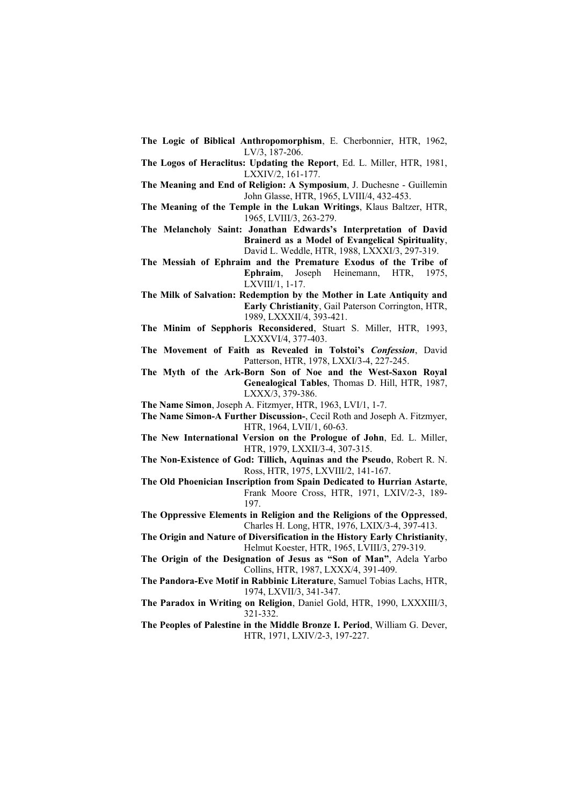- **The Logic of Biblical Anthropomorphism**, E. Cherbonnier, HTR, 1962, LV/3, 187-206.
- **The Logos of Heraclitus: Updating the Report**, Ed. L. Miller, HTR, 1981, LXXIV/2, 161-177.
- **The Meaning and End of Religion: A Symposium**, J. Duchesne Guillemin John Glasse, HTR, 1965, LVIII/4, 432-453.
- **The Meaning of the Temple in the Lukan Writings**, Klaus Baltzer, HTR, 1965, LVIII/3, 263-279.
- **The Melancholy Saint: Jonathan Edwards's Interpretation of David Brainerd as a Model of Evangelical Spirituality**, David L. Weddle, HTR, 1988, LXXXI/3, 297-319.
- **The Messiah of Ephraim and the Premature Exodus of the Tribe of Ephraim**, Joseph Heinemann, HTR, 1975, LXVIII/1, 1-17.
- **The Milk of Salvation: Redemption by the Mother in Late Antiquity and Early Christianity**, Gail Paterson Corrington, HTR, 1989, LXXXII/4, 393-421.
- **The Minim of Sepphoris Reconsidered**, Stuart S. Miller, HTR, 1993, LXXXVI/4, 377-403.
- **The Movement of Faith as Revealed in Tolstoi's** *Confession*, David Patterson, HTR, 1978, LXXI/3-4, 227-245.
- **The Myth of the Ark-Born Son of Noe and the West-Saxon Royal Genealogical Tables**, Thomas D. Hill, HTR, 1987, LXXX/3, 379-386.
- **The Name Simon**, Joseph A. Fitzmyer, HTR, 1963, LVI/1, 1-7.
- **The Name Simon-A Further Discussion-**, Cecil Roth and Joseph A. Fitzmyer, HTR, 1964, LVII/1, 60-63.
- **The New International Version on the Prologue of John**, Ed. L. Miller, HTR, 1979, LXXII/3-4, 307-315.
- **The Non-Existence of God: Tillich, Aquinas and the Pseudo**, Robert R. N. Ross, HTR, 1975, LXVIII/2, 141-167.
- **The Old Phoenician Inscription from Spain Dedicated to Hurrian Astarte**, Frank Moore Cross, HTR, 1971, LXIV/2-3, 189- 197.
- **The Oppressive Elements in Religion and the Religions of the Oppressed**, Charles H. Long, HTR, 1976, LXIX/3-4, 397-413.
- **The Origin and Nature of Diversification in the History Early Christianity**, Helmut Koester, HTR, 1965, LVIII/3, 279-319.
- **The Origin of the Designation of Jesus as "Son of Man"**, Adela Yarbo Collins, HTR, 1987, LXXX/4, 391-409.
- **The Pandora-Eve Motif in Rabbinic Literature**, Samuel Tobias Lachs, HTR, 1974, LXVII/3, 341-347.
- **The Paradox in Writing on Religion**, Daniel Gold, HTR, 1990, LXXXIII/3, 321-332.
- **The Peoples of Palestine in the Middle Bronze I. Period**, William G. Dever, HTR, 1971, LXIV/2-3, 197-227.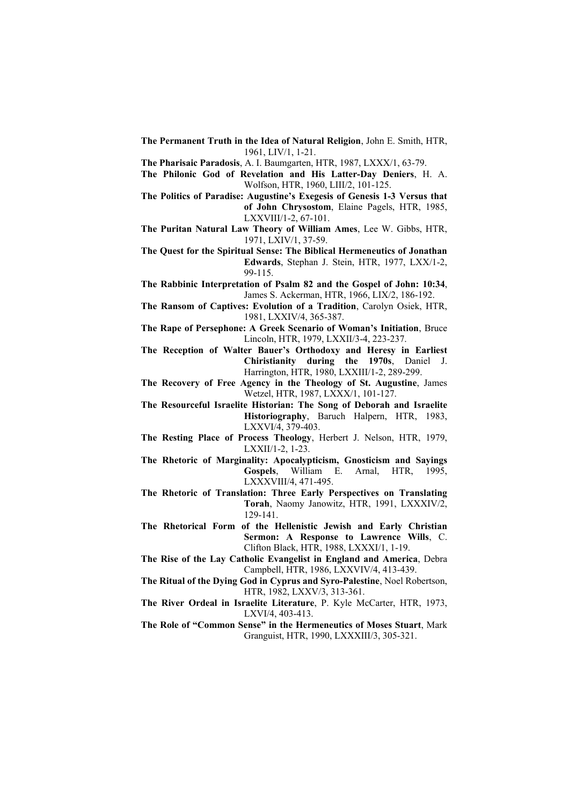**The Permanent Truth in the Idea of Natural Religion**, John E. Smith, HTR, 1961, LIV/1, 1-21.

**The Pharisaic Paradosis**, A. I. Baumgarten, HTR, 1987, LXXX/1, 63-79.

- **The Philonic God of Revelation and His Latter-Day Deniers**, H. A. Wolfson, HTR, 1960, LIII/2, 101-125.
- **The Politics of Paradise: Augustine's Exegesis of Genesis 1-3 Versus that of John Chrysostom**, Elaine Pagels, HTR, 1985,

LXXVIII/1-2, 67-101.

- **The Puritan Natural Law Theory of William Ames**, Lee W. Gibbs, HTR, 1971, LXIV/1, 37-59.
- **The Quest for the Spiritual Sense: The Biblical Hermeneutics of Jonathan Edwards**, Stephan J. Stein, HTR, 1977, LXX/1-2, 99-115.
- **The Rabbinic Interpretation of Psalm 82 and the Gospel of John: 10:34**, James S. Ackerman, HTR, 1966, LIX/2, 186-192.
- **The Ransom of Captives: Evolution of a Tradition**, Carolyn Osiek, HTR, 1981, LXXIV/4, 365-387.
- **The Rape of Persephone: A Greek Scenario of Woman's Initiation**, Bruce Lincoln, HTR, 1979, LXXII/3-4, 223-237.
- **The Reception of Walter Bauer's Orthodoxy and Heresy in Earliest Chiristianity during the 1970s**, Daniel J. Harrington, HTR, 1980, LXXIII/1-2, 289-299.
- **The Recovery of Free Agency in the Theology of St. Augustine**, James Wetzel, HTR, 1987, LXXX/1, 101-127.
- **The Resourceful Israelite Historian: The Song of Deborah and Israelite Historiography**, Baruch Halpern, HTR, 1983, LXXVI/4, 379-403.
- **The Resting Place of Process Theology**, Herbert J. Nelson, HTR, 1979, LXXII/1-2, 1-23.
- **The Rhetoric of Marginality: Apocalypticism, Gnosticism and Sayings Gospels**, William E. Arnal, HTR, 1995, LXXXVIII/4, 471-495.
- **The Rhetoric of Translation: Three Early Perspectives on Translating Torah**, Naomy Janowitz, HTR, 1991, LXXXIV/2, 129-141.
- **The Rhetorical Form of the Hellenistic Jewish and Early Christian Sermon: A Response to Lawrence Wills**, C. Clifton Black, HTR, 1988, LXXXI/1, 1-19.
- **The Rise of the Lay Catholic Evangelist in England and America**, Debra Campbell, HTR, 1986, LXXVIV/4, 413-439.
- **The Ritual of the Dying God in Cyprus and Syro-Palestine**, Noel Robertson, HTR, 1982, LXXV/3, 313-361.
- **The River Ordeal in Israelite Literature**, P. Kyle McCarter, HTR, 1973, LXVI/4, 403-413.
- **The Role of "Common Sense" in the Hermeneutics of Moses Stuart**, Mark Granguist, HTR, 1990, LXXXIII/3, 305-321.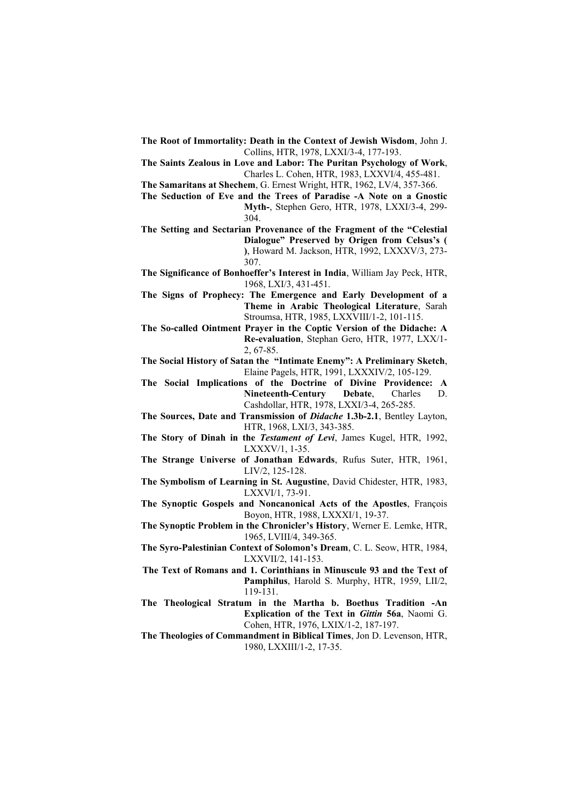- **The Root of Immortality: Death in the Context of Jewish Wisdom**, John J. Collins, HTR, 1978, LXXI/3-4, 177-193.
- **The Saints Zealous in Love and Labor: The Puritan Psychology of Work**, Charles L. Cohen, HTR, 1983, LXXVI/4, 455-481.

**The Samaritans at Shechem**, G. Ernest Wright, HTR, 1962, LV/4, 357-366.

**The Seduction of Eve and the Trees of Paradise -A Note on a Gnostic Myth-**, Stephen Gero, HTR, 1978, LXXI/3-4, 299- 304.

**The Setting and Sectarian Provenance of the Fragment of the "Celestial Dialogue" Preserved by Origen from Celsus's ( )**, Howard M. Jackson, HTR, 1992, LXXXV/3, 273- 307.

- **The Significance of Bonhoeffer's Interest in India**, William Jay Peck, HTR, 1968, LXI/3, 431-451.
- **The Signs of Prophecy: The Emergence and Early Development of a Theme in Arabic Theological Literature**, Sarah Stroumsa, HTR, 1985, LXXVIII/1-2, 101-115.
- **The So-called Ointment Prayer in the Coptic Version of the Didache: A Re-evaluation**, Stephan Gero, HTR, 1977, LXX/1- 2, 67-85.

**The Social History of Satan the "Intimate Enemy": A Preliminary Sketch**, Elaine Pagels, HTR, 1991, LXXXIV/2, 105-129.

**The Social Implications of the Doctrine of Divine Providence: A Nineteenth-Century Debate**, Charles D. Cashdollar, HTR, 1978, LXXI/3-4, 265-285.

**The Sources, Date and Transmission of** *Didache* **1.3b-2.1**, Bentley Layton, HTR, 1968, LXI/3, 343-385.

- **The Story of Dinah in the** *Testament of Levi*, James Kugel, HTR, 1992, LXXXV/1, 1-35.
- **The Strange Universe of Jonathan Edwards**, Rufus Suter, HTR, 1961, LIV/2, 125-128.

**The Symbolism of Learning in St. Augustine**, David Chidester, HTR, 1983, LXXVI/1, 73-91.

- **The Synoptic Gospels and Noncanonical Acts of the Apostles**, François Boyon, HTR, 1988, LXXXI/1, 19-37.
- **The Synoptic Problem in the Chronicler's History**, Werner E. Lemke, HTR, 1965, LVIII/4, 349-365.
- **The Syro-Palestinian Context of Solomon's Dream**, C. L. Seow, HTR, 1984, LXXVII/2, 141-153.
- **The Text of Romans and 1. Corinthians in Minuscule 93 and the Text of Pamphilus**, Harold S. Murphy, HTR, 1959, LII/2, 119-131.
- **The Theological Stratum in the Martha b. Boethus Tradition -An Explication of the Text in** *Gittin* **56a**, Naomi G. Cohen, HTR, 1976, LXIX/1-2, 187-197.
- **The Theologies of Commandment in Biblical Times**, Jon D. Levenson, HTR, 1980, LXXIII/1-2, 17-35.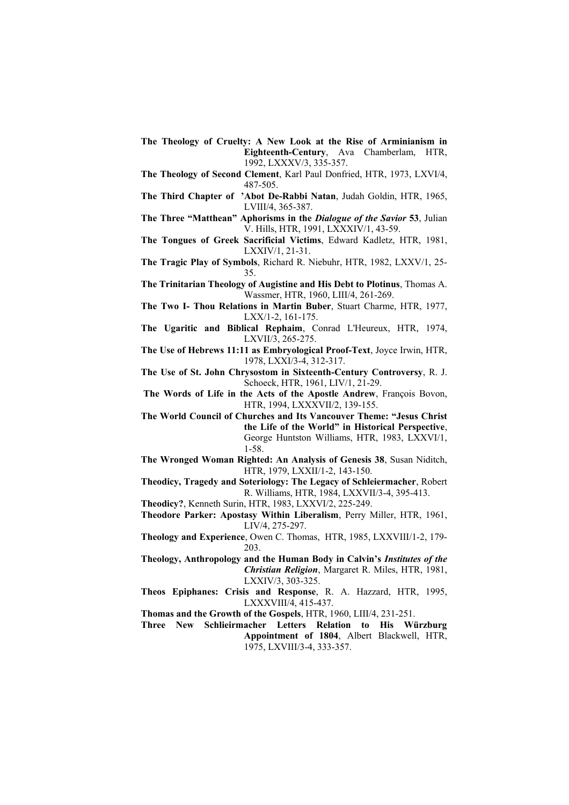- **The Theology of Cruelty: A New Look at the Rise of Arminianism in Eighteenth-Century**, Ava Chamberlam, HTR, 1992, LXXXV/3, 335-357.
- **The Theology of Second Clement**, Karl Paul Donfried, HTR, 1973, LXVI/4, 487-505.
- **The Third Chapter of 'Abot De-Rabbi Natan**, Judah Goldin, HTR, 1965, LVIII/4, 365-387.
- **The Three "Matthean" Aphorisms in the** *Dialogue of the Savior* **53**, Julian V. Hills, HTR, 1991, LXXXIV/1, 43-59.
- **The Tongues of Greek Sacrificial Victims**, Edward Kadletz, HTR, 1981, LXXIV/1, 21-31.
- **The Tragic Play of Symbols**, Richard R. Niebuhr, HTR, 1982, LXXV/1, 25- 35.
- **The Trinitarian Theology of Augistine and His Debt to Plotinus**, Thomas A. Wassmer, HTR, 1960, LIII/4, 261-269.
- **The Two I- Thou Relations in Martin Buber**, Stuart Charme, HTR, 1977, LXX/1-2, 161-175.
- **The Ugaritic and Biblical Rephaim**, Conrad L'Heureux, HTR, 1974, LXVII/3, 265-275.

**The Use of Hebrews 11:11 as Embryological Proof-Text**, Joyce Irwin, HTR, 1978, LXXI/3-4, 312-317.

- **The Use of St. John Chrysostom in Sixteenth-Century Controversy**, R. J. Schoeck, HTR, 1961, LIV/1, 21-29.
- **The Words of Life in the Acts of the Apostle Andrew**, François Bovon, HTR, 1994, LXXXVII/2, 139-155.
- **The World Council of Churches and Its Vancouver Theme: "Jesus Christ the Life of the World" in Historical Perspective**, George Huntston Williams, HTR, 1983, LXXVI/1, 1-58.
- **The Wronged Woman Righted: An Analysis of Genesis 38**, Susan Niditch, HTR, 1979, LXXII/1-2, 143-150.
- **Theodicy, Tragedy and Soteriology: The Legacy of Schleiermacher**, Robert R. Williams, HTR, 1984, LXXVII/3-4, 395-413.

**Theodicy?**, Kenneth Surin, HTR, 1983, LXXVI/2, 225-249.

- **Theodore Parker: Apostasy Within Liberalism**, Perry Miller, HTR, 1961, LIV/4, 275-297.
- **Theology and Experience**, Owen C. Thomas, HTR, 1985, LXXVIII/1-2, 179- 203.

**Theology, Anthropology and the Human Body in Calvin's** *Institutes of the Christian Religion*, Margaret R. Miles, HTR, 1981, LXXIV/3, 303-325.

- **Theos Epiphanes: Crisis and Response**, R. A. Hazzard, HTR, 1995, LXXXVIII/4, 415-437.
- **Thomas and the Growth of the Gospels**, HTR, 1960, LIII/4, 231-251.
- **Three New Schlieirmacher Letters Relation to His Würzburg Appointment of 1804**, Albert Blackwell, HTR, 1975, LXVIII/3-4, 333-357.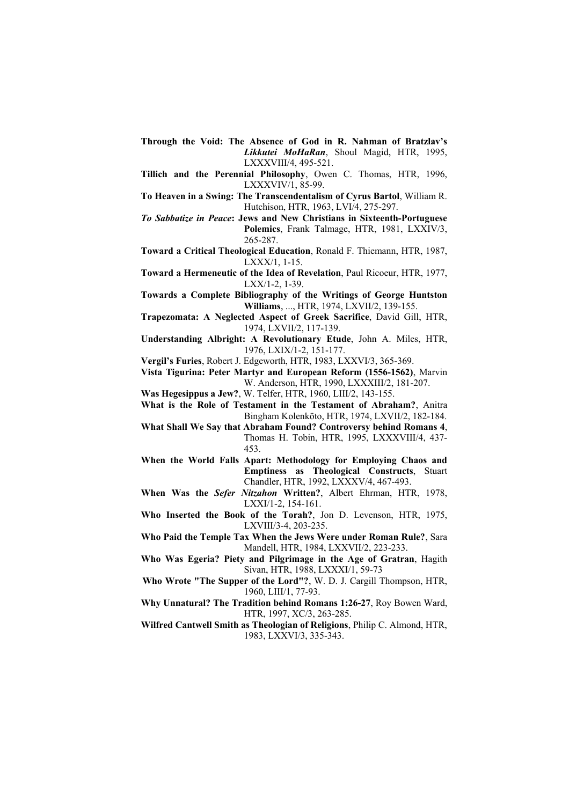- **Through the Void: The Absence of God in R. Nahman of Bratzlav's** *Likkutei MoHaRan*, Shoul Magid, HTR, 1995, LXXXVIII/4, 495-521.
- **Tillich and the Perennial Philosophy**, Owen C. Thomas, HTR, 1996, LXXXVIV/1, 85-99.
- **To Heaven in a Swing: The Transcendentalism of Cyrus Bartol**, William R. Hutchison, HTR, 1963, LVI/4, 275-297.

*To Sabbatize in Peace***: Jews and New Christians in Sixteenth-Portuguese Polemics**, Frank Talmage, HTR, 1981, LXXIV/3, 265-287.

- **Toward a Critical Theological Education**, Ronald F. Thiemann, HTR, 1987, LXXX/1, 1-15.
- **Toward a Hermeneutic of the Idea of Revelation**, Paul Ricoeur, HTR, 1977, LXX/1-2, 1-39.
- **Towards a Complete Bibliography of the Writings of George Huntston Williams**, ..., HTR, 1974, LXVII/2, 139-155.
- **Trapezomata: A Neglected Aspect of Greek Sacrifice**, David Gill, HTR, 1974, LXVII/2, 117-139.

**Understanding Albright: A Revolutionary Etude**, John A. Miles, HTR, 1976, LXIX/1-2, 151-177.

**Vergil's Furies**, Robert J. Edgeworth, HTR, 1983, LXXVI/3, 365-369.

- **Vista Tigurina: Peter Martyr and European Reform (1556-1562)**, Marvin W. Anderson, HTR, 1990, LXXXIII/2, 181-207.
- **Was Hegesippus a Jew?**, W. Telfer, HTR, 1960, LIII/2, 143-155.
- **What is the Role of Testament in the Testament of Abraham?**, Anitra Bingham Kolenköto, HTR, 1974, LXVII/2, 182-184.
- **What Shall We Say that Abraham Found? Controversy behind Romans 4**, Thomas H. Tobin, HTR, 1995, LXXXVIII/4, 437- 453.
- **When the World Falls Apart: Methodology for Employing Chaos and Emptiness as Theological Constructs**, Stuart Chandler, HTR, 1992, LXXXV/4, 467-493.
- **When Was the** *Sefer Nitzahon* **Written?**, Albert Ehrman, HTR, 1978, LXXI/1-2, 154-161.
- **Who Inserted the Book of the Torah?**, Jon D. Levenson, HTR, 1975, LXVIII/3-4, 203-235.
- **Who Paid the Temple Tax When the Jews Were under Roman Rule?**, Sara Mandell, HTR, 1984, LXXVII/2, 223-233.
- **Who Was Egeria? Piety and Pilgrimage in the Age of Gratran**, Hagith Sivan, HTR, 1988, LXXXI/1, 59-73
- **Who Wrote "The Supper of the Lord"?**, W. D. J. Cargill Thompson, HTR, 1960, LIII/1, 77-93.
- **Why Unnatural? The Tradition behind Romans 1:26-27**, Roy Bowen Ward, HTR, 1997, XC/3, 263-285.
- **Wilfred Cantwell Smith as Theologian of Religions**, Philip C. Almond, HTR, 1983, LXXVI/3, 335-343.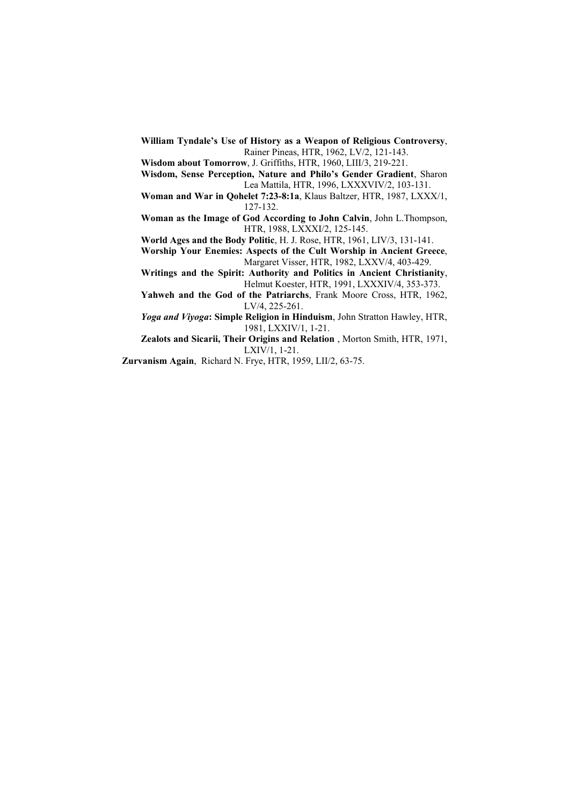- **William Tyndale's Use of History as a Weapon of Religious Controversy**, Rainer Pineas, HTR, 1962, LV/2, 121-143.
- **Wisdom about Tomorrow**, J. Griffiths, HTR, 1960, LIII/3, 219-221.
- **Wisdom, Sense Perception, Nature and Philo's Gender Gradient**, Sharon Lea Mattila, HTR, 1996, LXXXVIV/2, 103-131.
- **Woman and War in Qohelet 7:23-8:1a**, Klaus Baltzer, HTR, 1987, LXXX/1, 127-132.
- **Woman as the Image of God According to John Calvin**, John L.Thompson, HTR, 1988, LXXXI/2, 125-145.
- **World Ages and the Body Politic**, H. J. Rose, HTR, 1961, LIV/3, 131-141.
- **Worship Your Enemies: Aspects of the Cult Worship in Ancient Greece**, Margaret Visser, HTR, 1982, LXXV/4, 403-429.
- **Writings and the Spirit: Authority and Politics in Ancient Christianity**, Helmut Koester, HTR, 1991, LXXXIV/4, 353-373.
- **Yahweh and the God of the Patriarchs**, Frank Moore Cross, HTR, 1962, LV/4, 225-261.

*Yoga and Viyoga***: Simple Religion in Hinduism**, John Stratton Hawley, HTR, 1981, LXXIV/1, 1-21.

**Zealots and Sicarii, Their Origins and Relation** , Morton Smith, HTR, 1971, LXIV/1, 1-21.

**Zurvanism Again**, Richard N. Frye, HTR, 1959, LII/2, 63-75.